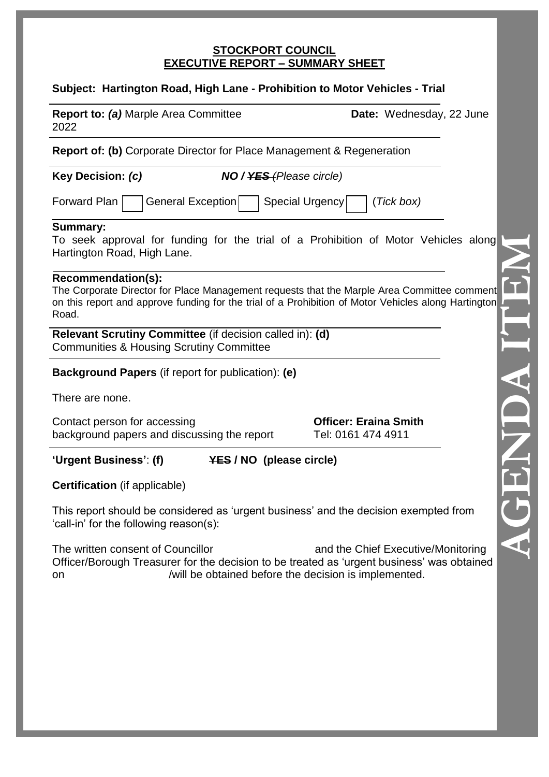#### **STOCKPORT COUNCIL EXECUTIVE REPORT – SUMMARY SHEET**

# **Subject: Hartington Road, High Lane - Prohibition to Motor Vehicles - Trial**

| <b>Report to: (a) Marple Area Committee</b><br>2022                                                                                                                                                                                | Date: Wednesday, 22 June                                                                    |
|------------------------------------------------------------------------------------------------------------------------------------------------------------------------------------------------------------------------------------|---------------------------------------------------------------------------------------------|
| <b>Report of: (b)</b> Corporate Director for Place Management & Regeneration                                                                                                                                                       |                                                                                             |
| Key Decision: (c)                                                                                                                                                                                                                  | <b>NO</b> / YES (Please circle)                                                             |
| Forward Plan<br>General Exception<br>Special Urgency<br>(Tick box)                                                                                                                                                                 |                                                                                             |
| <b>Summary:</b><br>Hartington Road, High Lane.                                                                                                                                                                                     | To seek approval for funding for the trial of a Prohibition of Motor Vehicles along         |
| Recommendation(s):<br>The Corporate Director for Place Management requests that the Marple Area Committee comment<br>on this report and approve funding for the trial of a Prohibition of Motor Vehicles along Hartington<br>Road. |                                                                                             |
| Relevant Scrutiny Committee (if decision called in): (d)<br><b>Communities &amp; Housing Scrutiny Committee</b>                                                                                                                    |                                                                                             |
| <b>Background Papers</b> (if report for publication): (e)                                                                                                                                                                          |                                                                                             |
| There are none.                                                                                                                                                                                                                    |                                                                                             |
| Contact person for accessing<br>background papers and discussing the report                                                                                                                                                        | <b>Officer: Eraina Smith</b><br>Tel: 0161 474 4911                                          |
| <b>'Urgent Business': (f)</b><br><b>YES / NO (please circle)</b>                                                                                                                                                                   |                                                                                             |
| <b>Certification</b> (if applicable)                                                                                                                                                                                               |                                                                                             |
| This report should be considered as 'urgent business' and the decision exempted from<br>'call-in' for the following reason(s):                                                                                                     |                                                                                             |
| The written consent of Councillor<br>Officer/Borough Treasurer for the decision to be treated as 'urgent business' was obtained<br>on                                                                                              | and the Chief Executive/Monitoring<br>/will be obtained before the decision is implemented. |
|                                                                                                                                                                                                                                    |                                                                                             |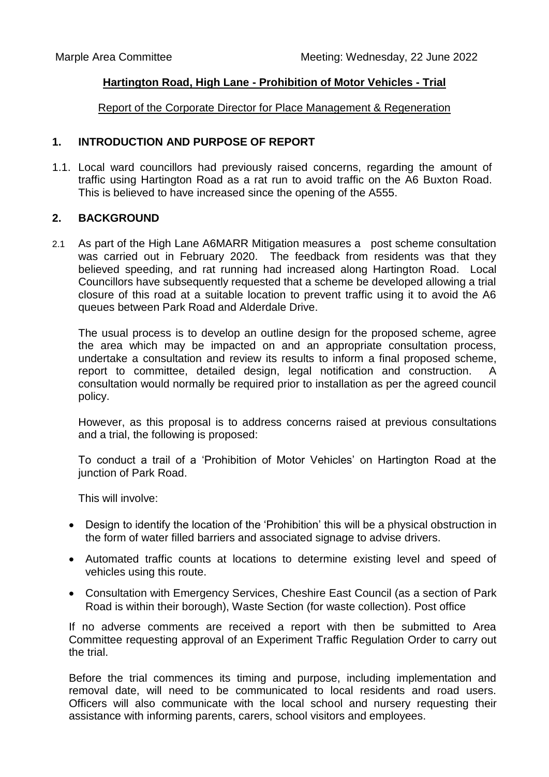#### **Hartington Road, High Lane - Prohibition of Motor Vehicles - Trial**

Report of the Corporate Director for Place Management & Regeneration

#### **1. INTRODUCTION AND PURPOSE OF REPORT**

1.1. Local ward councillors had previously raised concerns, regarding the amount of traffic using Hartington Road as a rat run to avoid traffic on the A6 Buxton Road. This is believed to have increased since the opening of the A555.

#### **2. BACKGROUND**

2.1 As part of the High Lane A6MARR Mitigation measures a post scheme consultation was carried out in February 2020. The feedback from residents was that they believed speeding, and rat running had increased along Hartington Road. Local Councillors have subsequently requested that a scheme be developed allowing a trial closure of this road at a suitable location to prevent traffic using it to avoid the A6 queues between Park Road and Alderdale Drive.

The usual process is to develop an outline design for the proposed scheme, agree the area which may be impacted on and an appropriate consultation process, undertake a consultation and review its results to inform a final proposed scheme, report to committee, detailed design, legal notification and construction. A consultation would normally be required prior to installation as per the agreed council policy.

However, as this proposal is to address concerns raised at previous consultations and a trial, the following is proposed:

To conduct a trail of a 'Prohibition of Motor Vehicles' on Hartington Road at the junction of Park Road.

This will involve:

- Design to identify the location of the 'Prohibition' this will be a physical obstruction in the form of water filled barriers and associated signage to advise drivers.
- Automated traffic counts at locations to determine existing level and speed of vehicles using this route.
- Consultation with Emergency Services, Cheshire East Council (as a section of Park Road is within their borough), Waste Section (for waste collection). Post office

If no adverse comments are received a report with then be submitted to Area Committee requesting approval of an Experiment Traffic Regulation Order to carry out the trial.

Before the trial commences its timing and purpose, including implementation and removal date, will need to be communicated to local residents and road users. Officers will also communicate with the local school and nursery requesting their assistance with informing parents, carers, school visitors and employees.